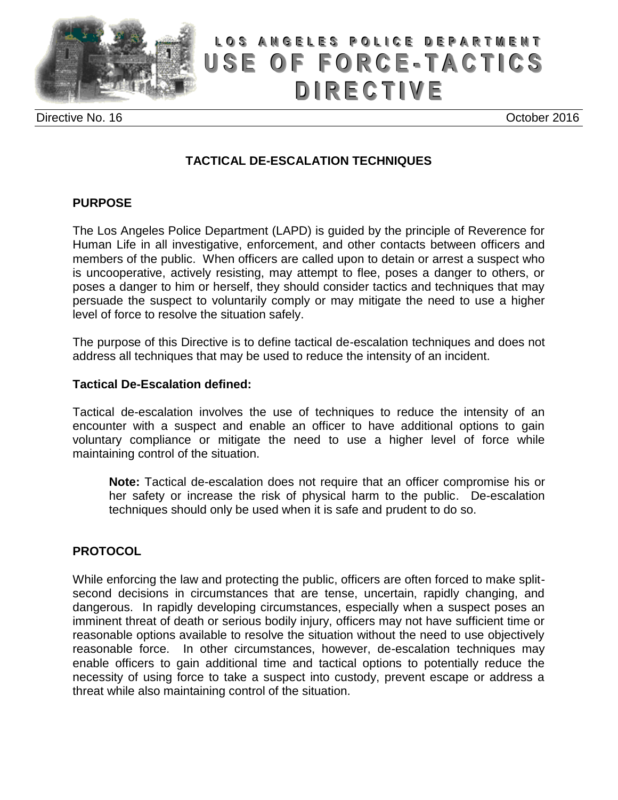

# **A RESERVE A RESERVE LOS ANGELES POLICE DEPARTMENT U S E O F F O R C E - T A C TII C S DIRECTIVE**

Directive No. 16 Contractive No. 16 Contractive No. 16 Contractive No. 16 Contractive No. 16 Contractive October 2016

## **TACTICAL DE-ESCALATION TECHNIQUES**

#### **PURPOSE**

The Los Angeles Police Department (LAPD) is guided by the principle of Reverence for Human Life in all investigative, enforcement, and other contacts between officers and members of the public. When officers are called upon to detain or arrest a suspect who is uncooperative, actively resisting, may attempt to flee, poses a danger to others, or poses a danger to him or herself, they should consider tactics and techniques that may persuade the suspect to voluntarily comply or may mitigate the need to use a higher level of force to resolve the situation safely.

The purpose of this Directive is to define tactical de-escalation techniques and does not address all techniques that may be used to reduce the intensity of an incident.

#### **Tactical De-Escalation defined:**

Tactical de-escalation involves the use of techniques to reduce the intensity of an encounter with a suspect and enable an officer to have additional options to gain voluntary compliance or mitigate the need to use a higher level of force while maintaining control of the situation.

**Note:** Tactical de-escalation does not require that an officer compromise his or her safety or increase the risk of physical harm to the public. De-escalation techniques should only be used when it is safe and prudent to do so.

#### **PROTOCOL**

While enforcing the law and protecting the public, officers are often forced to make splitsecond decisions in circumstances that are tense, uncertain, rapidly changing, and dangerous. In rapidly developing circumstances, especially when a suspect poses an imminent threat of death or serious bodily injury, officers may not have sufficient time or reasonable options available to resolve the situation without the need to use objectively reasonable force. In other circumstances, however, de-escalation techniques may enable officers to gain additional time and tactical options to potentially reduce the necessity of using force to take a suspect into custody, prevent escape or address a threat while also maintaining control of the situation.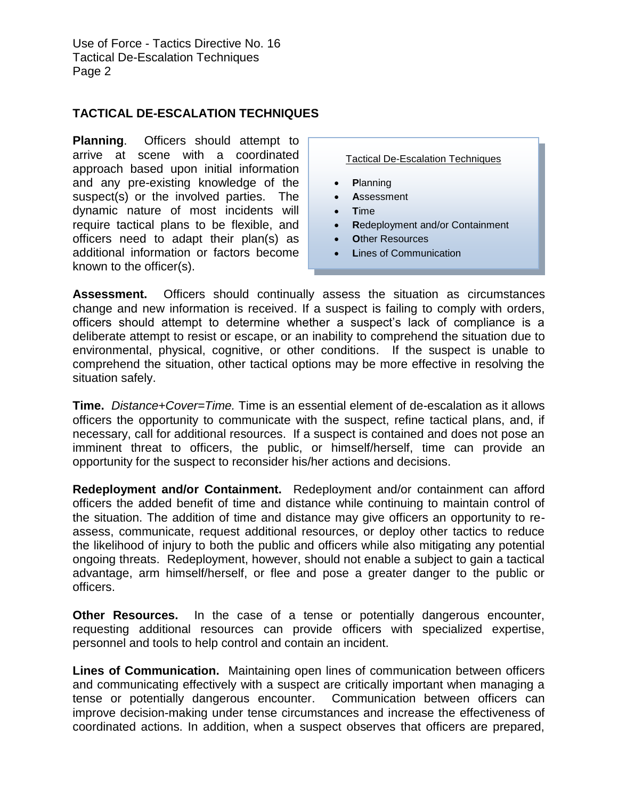Use of Force - Tactics Directive No. 16 Tactical De-Escalation Techniques Page 2

### **TACTICAL DE-ESCALATION TECHNIQUES**

**Planning**. Officers should attempt to arrive at scene with a coordinated approach based upon initial information and any pre-existing knowledge of the suspect(s) or the involved parties. The dynamic nature of most incidents will require tactical plans to be flexible, and officers need to adapt their plan(s) as additional information or factors become known to the officer(s).

Tactical De-Escalation Techniques

- **P**lanning
- **A**ssessment
- Time
- **R**edeployment and/or Containment
- **O**ther Resources
- **L**ines of Communication

**Assessment.** Officers should continually assess the situation as circumstances change and new information is received. If a suspect is failing to comply with orders, officers should attempt to determine whether a suspect's lack of compliance is a deliberate attempt to resist or escape, or an inability to comprehend the situation due to environmental, physical, cognitive, or other conditions. If the suspect is unable to comprehend the situation, other tactical options may be more effective in resolving the situation safely.

**Time.** *Distance+Cover=Time.* Time is an essential element of de-escalation as it allows officers the opportunity to communicate with the suspect, refine tactical plans, and, if necessary, call for additional resources. If a suspect is contained and does not pose an imminent threat to officers, the public, or himself/herself, time can provide an opportunity for the suspect to reconsider his/her actions and decisions.

**Redeployment and/or Containment.** Redeployment and/or containment can afford officers the added benefit of time and distance while continuing to maintain control of the situation. The addition of time and distance may give officers an opportunity to reassess, communicate, request additional resources, or deploy other tactics to reduce the likelihood of injury to both the public and officers while also mitigating any potential ongoing threats. Redeployment, however, should not enable a subject to gain a tactical advantage, arm himself/herself, or flee and pose a greater danger to the public or officers.

**Other Resources.** In the case of a tense or potentially dangerous encounter, requesting additional resources can provide officers with specialized expertise, personnel and tools to help control and contain an incident.

**Lines of Communication.** Maintaining open lines of communication between officers and communicating effectively with a suspect are critically important when managing a tense or potentially dangerous encounter. Communication between officers can improve decision-making under tense circumstances and increase the effectiveness of coordinated actions. In addition, when a suspect observes that officers are prepared,